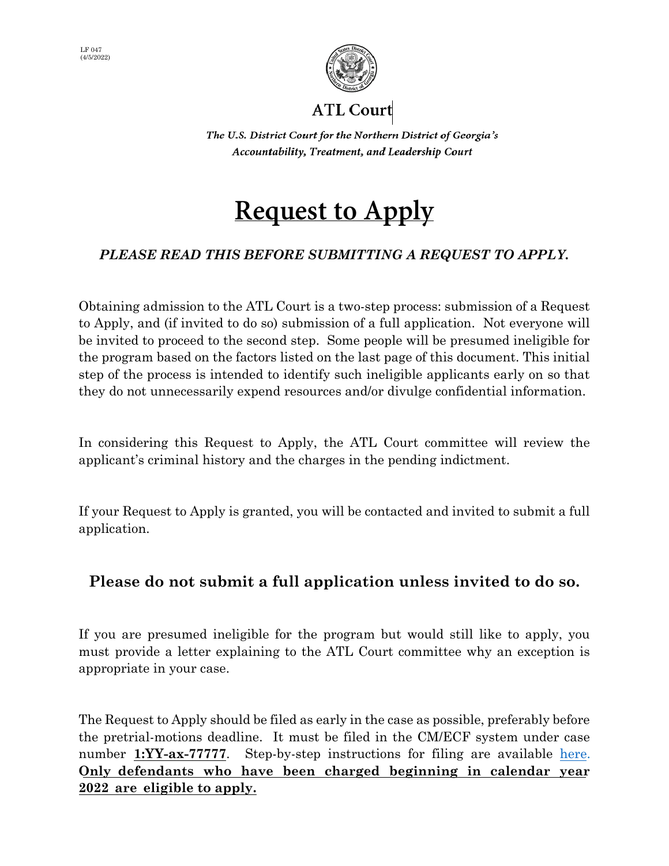



ATL Court

The U.S. District Court for the Northern District of Georgia's Accountability, Treatment, and Leadership Court

# **Request to Apply**

### *PLEASE READ THIS BEFORE SUBMITTING A REQUEST TO APPLY.*

Obtaining admission to the ATL Court is a two-step process: submission of a Request to Apply, and (if invited to do so) submission of a full application. Not everyone will be invited to proceed to the second step. Some people will be presumed ineligible for the program based on the factors listed on the last page of this document. This initial step of the process is intended to identify such ineligible applicants early on so that they do not unnecessarily expend resources and/or divulge confidential information.

In considering this Request to Apply, the ATL Court committee will review the applicant's criminal history and the charges in the pending indictment.

If your Request to Apply is granted, you will be contacted and invited to submit a full application.

### **Please do not submit a full application unless invited to do so.**

If you are presumed ineligible for the program but would still like to apply, you must provide a letter explaining to the ATL Court committee why an exception is appropriate in your case.

The Request to Apply should be filed as early in the case as possible, preferably before the pretrial-motions deadline. It must be filed in the CM/ECF system under case number **1:YY-ax-77777**. Step-by-step instructions for filing are available [here](http://www.gand.uscourts.gov/atl-court-filing-instructions). **Only defendants who have been charged beginning in calendar year 2022 are eligible to apply.**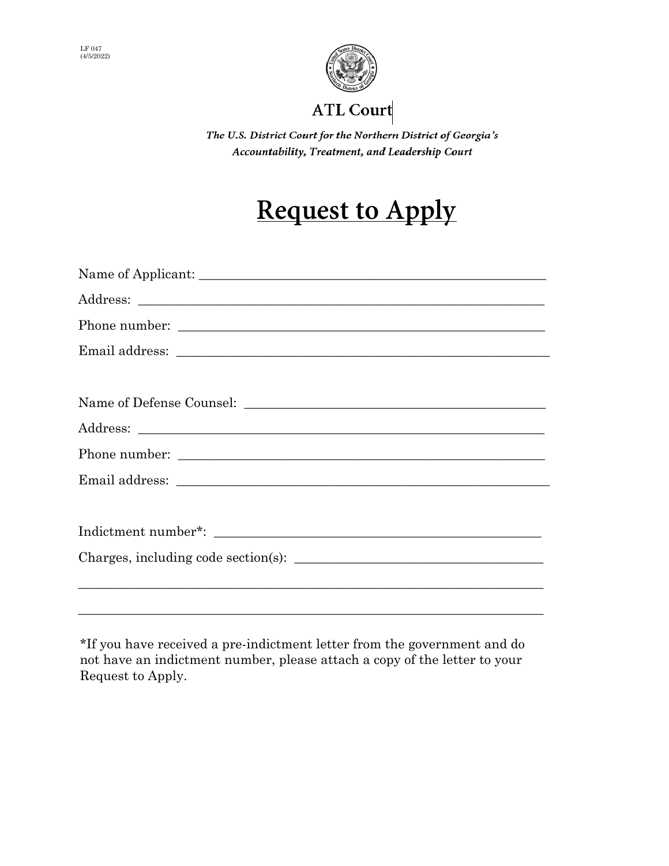



### **ATL Court**

The U.S. District Court for the Northern District of Georgia's Accountability, Treatment, and Leadership Court

# **Request to Apply**

\*If you have received a pre-indictment letter from the government and do not have an indictment number, please attach a copy of the letter to your Request to Apply.